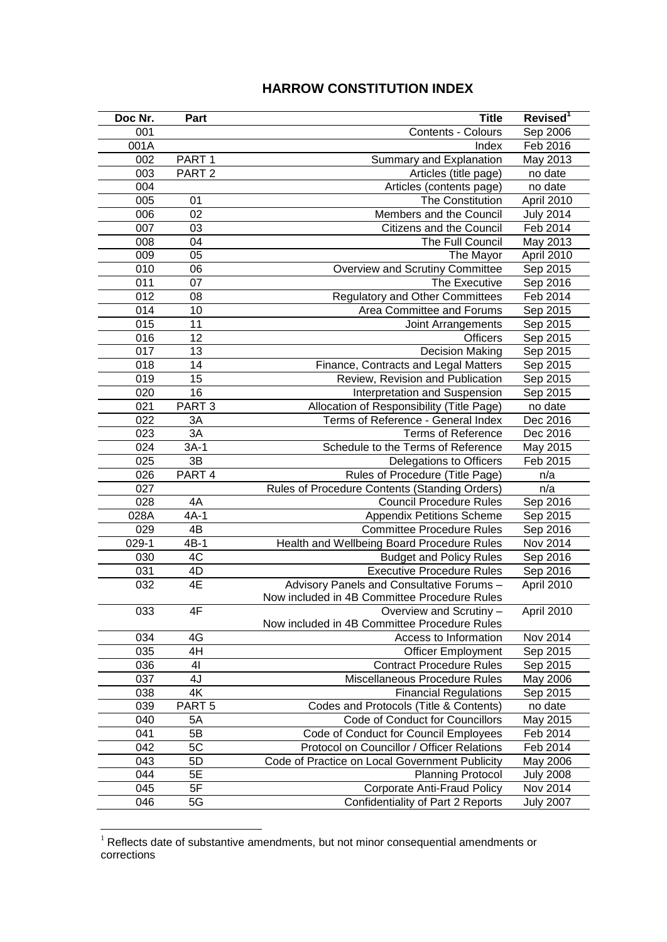## **HARROW CONSTITUTION INDEX**

| Doc Nr. | Part              | <b>Title</b>                                   | Revised <sup>1</sup> |
|---------|-------------------|------------------------------------------------|----------------------|
| 001     |                   | Contents - Colours                             | Sep 2006             |
| 001A    |                   | Index                                          | Feb 2016             |
| 002     | PART <sub>1</sub> | Summary and Explanation                        | May 2013             |
| 003     | PART <sub>2</sub> | Articles (title page)                          | no date              |
| 004     |                   | Articles (contents page)                       | no date              |
| 005     | 01                | The Constitution                               | April 2010           |
| 006     | 02                | Members and the Council                        | <b>July 2014</b>     |
| 007     | 03                | Citizens and the Council                       | Feb 2014             |
| 008     | 04                | The Full Council                               | May 2013             |
| 009     | 05                | The Mayor                                      | April 2010           |
| 010     | 06                | Overview and Scrutiny Committee                | Sep 2015             |
| 011     | 07                | The Executive                                  | Sep 2016             |
| 012     | 08                | <b>Regulatory and Other Committees</b>         | Feb 2014             |
| 014     | 10                | Area Committee and Forums                      | Sep 2015             |
| 015     | 11                | Joint Arrangements                             | Sep 2015             |
| 016     | 12                | <b>Officers</b>                                | Sep 2015             |
| 017     | 13                | <b>Decision Making</b>                         | Sep 2015             |
| 018     | 14                | Finance, Contracts and Legal Matters           | Sep 2015             |
| 019     | 15                | Review, Revision and Publication               | Sep 2015             |
| 020     | 16                | Interpretation and Suspension                  | Sep 2015             |
| 021     | PART <sub>3</sub> | Allocation of Responsibility (Title Page)      | no date              |
| 022     | 3A                | Terms of Reference - General Index             | Dec 2016             |
| 023     | 3A                | <b>Terms of Reference</b>                      | Dec 2016             |
| 024     | $3A-1$            | Schedule to the Terms of Reference             | May 2015             |
| 025     | 3B                | Delegations to Officers                        | Feb 2015             |
| 026     | PART 4            | Rules of Procedure (Title Page)                | n/a                  |
| 027     |                   | Rules of Procedure Contents (Standing Orders)  | n/a                  |
| 028     | 4A                | <b>Council Procedure Rules</b>                 | Sep 2016             |
| 028A    | $4A-1$            | <b>Appendix Petitions Scheme</b>               | Sep 2015             |
| 029     | $4\overline{B}$   | <b>Committee Procedure Rules</b>               | Sep 2016             |
| $029-1$ | $4B-1$            | Health and Wellbeing Board Procedure Rules     | Nov 2014             |
| 030     | 4C                | <b>Budget and Policy Rules</b>                 | Sep 2016             |
| 031     | 4D                | <b>Executive Procedure Rules</b>               | Sep 2016             |
| 032     | 4E                | Advisory Panels and Consultative Forums -      | April 2010           |
|         |                   | Now included in 4B Committee Procedure Rules   |                      |
| 033     | 4F                | Overview and Scrutiny -                        | April 2010           |
|         |                   | Now included in 4B Committee Procedure Rules   |                      |
| 034     | 4G                | Access to Information                          | Nov 2014             |
| 035     | 4H                | <b>Officer Employment</b>                      | Sep 2015             |
| 036     | 41                | <b>Contract Procedure Rules</b>                | Sep 2015             |
| 037     | 4J                | Miscellaneous Procedure Rules                  | May 2006             |
| 038     | 4K                | <b>Financial Regulations</b>                   | Sep 2015             |
| 039     | PART <sub>5</sub> | Codes and Protocols (Title & Contents)         | no date              |
| 040     | 5A                | Code of Conduct for Councillors                | May 2015             |
| 041     | 5B                | Code of Conduct for Council Employees          | Feb 2014             |
| 042     | 5C                | Protocol on Councillor / Officer Relations     | Feb 2014             |
| 043     | 5D                | Code of Practice on Local Government Publicity | May 2006             |
| 044     | 5E                | <b>Planning Protocol</b>                       | <b>July 2008</b>     |
| 045     | 5F                | <b>Corporate Anti-Fraud Policy</b>             | Nov 2014             |
| 046     | 5G                | Confidentiality of Part 2 Reports              | <b>July 2007</b>     |

 Reflects date of substantive amendments, but not minor consequential amendments or corrections

<u>.</u>